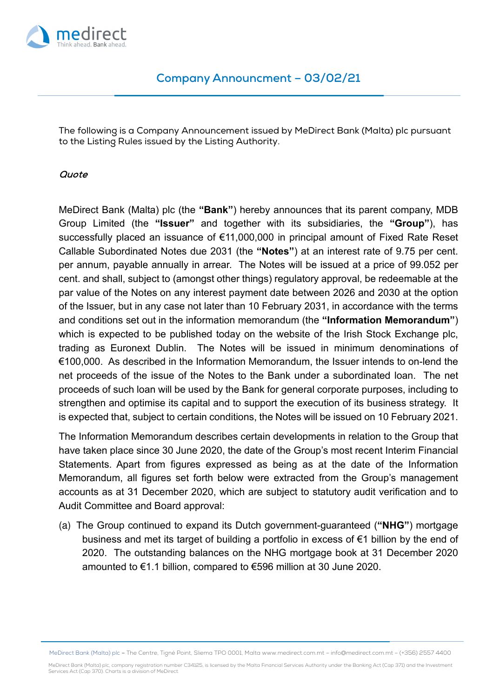

The following is a Company Announcement issued by MeDirect Bank (Malta) plc pursuant to the Listing Rules issued by the Listing Authority.

## **Quote**

MeDirect Bank (Malta) plc (the **"Bank"**) hereby announces that its parent company, MDB Group Limited (the **"Issuer"** and together with its subsidiaries, the **"Group"**), has successfully placed an issuance of €11,000,000 in principal amount of Fixed Rate Reset Callable Subordinated Notes due 2031 (the **"Notes"**) at an interest rate of 9.75 per cent. per annum, payable annually in arrear. The Notes will be issued at a price of 99.052 per cent. and shall, subject to (amongst other things) regulatory approval, be redeemable at the par value of the Notes on any interest payment date between 2026 and 2030 at the option of the Issuer, but in any case not later than 10 February 2031, in accordance with the terms and conditions set out in the information memorandum (the **"Information Memorandum"**) which is expected to be published today on the website of the Irish Stock Exchange plc, trading as Euronext Dublin. The Notes will be issued in minimum denominations of €100,000. As described in the Information Memorandum, the Issuer intends to on-lend the net proceeds of the issue of the Notes to the Bank under a subordinated loan. The net proceeds of such loan will be used by the Bank for general corporate purposes, including to strengthen and optimise its capital and to support the execution of its business strategy. It is expected that, subject to certain conditions, the Notes will be issued on 10 February 2021.

The Information Memorandum describes certain developments in relation to the Group that have taken place since 30 June 2020, the date of the Group's most recent Interim Financial Statements. Apart from figures expressed as being as at the date of the Information Memorandum, all figures set forth below were extracted from the Group's management accounts as at 31 December 2020, which are subject to statutory audit verification and to Audit Committee and Board approval:

(a) The Group continued to expand its Dutch government-guaranteed (**"NHG"**) mortgage business and met its target of building a portfolio in excess of €1 billion by the end of 2020. The outstanding balances on the NHG mortgage book at 31 December 2020 amounted to €1.1 billion, compared to €596 million at 30 June 2020.

MeDirect Bank (Malta) plc – The Centre, Tigné Point, Sliema TPO 0001, Malta www.medirect.com.mt – info@medirect.com.mt – (+356) 2557 4400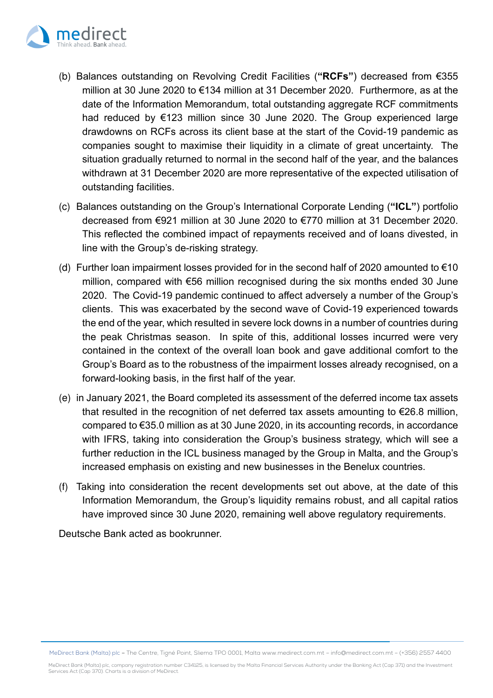

- (b) Balances outstanding on Revolving Credit Facilities (**"RCFs"**) decreased from €355 million at 30 June 2020 to €134 million at 31 December 2020. Furthermore, as at the date of the Information Memorandum, total outstanding aggregate RCF commitments had reduced by €123 million since 30 June 2020. The Group experienced large drawdowns on RCFs across its client base at the start of the Covid-19 pandemic as companies sought to maximise their liquidity in a climate of great uncertainty. The situation gradually returned to normal in the second half of the year, and the balances withdrawn at 31 December 2020 are more representative of the expected utilisation of outstanding facilities.
- (c) Balances outstanding on the Group's International Corporate Lending (**"ICL"**) portfolio decreased from €921 million at 30 June 2020 to €770 million at 31 December 2020. This reflected the combined impact of repayments received and of loans divested, in line with the Group's de-risking strategy.
- (d) Further loan impairment losses provided for in the second half of 2020 amounted to  $\epsilon$ 10 million, compared with €56 million recognised during the six months ended 30 June 2020. The Covid-19 pandemic continued to affect adversely a number of the Group's clients. This was exacerbated by the second wave of Covid-19 experienced towards the end of the year, which resulted in severe lock downs in a number of countries during the peak Christmas season. In spite of this, additional losses incurred were very contained in the context of the overall loan book and gave additional comfort to the Group's Board as to the robustness of the impairment losses already recognised, on a forward-looking basis, in the first half of the year.
- (e) in January 2021, the Board completed its assessment of the deferred income tax assets that resulted in the recognition of net deferred tax assets amounting to  $\epsilon$ 26.8 million, compared to €35.0 million as at 30 June 2020, in its accounting records, in accordance with IFRS, taking into consideration the Group's business strategy, which will see a further reduction in the ICL business managed by the Group in Malta, and the Group's increased emphasis on existing and new businesses in the Benelux countries.
- (f) Taking into consideration the recent developments set out above, at the date of this Information Memorandum, the Group's liquidity remains robust, and all capital ratios have improved since 30 June 2020, remaining well above regulatory requirements.

Deutsche Bank acted as bookrunner.

MeDirect Bank (Malta) plc – The Centre, Tigné Point, Sliema TPO 0001, Malta www.medirect.com.mt – info@medirect.com.mt – (+356) 2557 4400